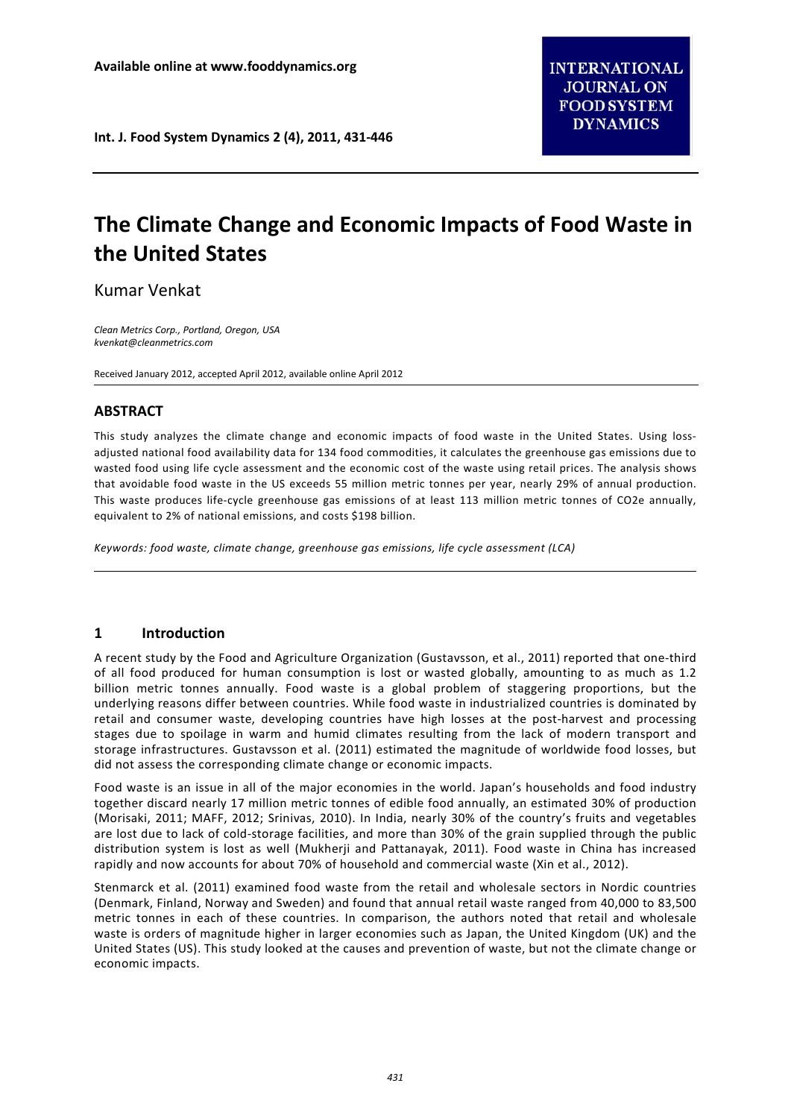**Int. J. Food System Dynamics 2 (4), 2011, 431-446**

# **The Climate Change and Economic Impacts of Food Waste in the United States**

Kumar Venkat

*Clean Metrics Corp., Portland, Oregon, USA kvenkat@cleanmetrics.com*

Received January 2012, accepted April 2012, available online April 2012

## **ABSTRACT**

This study analyzes the climate change and economic impacts of food waste in the United States. Using lossadjusted national food availability data for 134 food commodities, it calculates the greenhouse gas emissions due to wasted food using life cycle assessment and the economic cost of the waste using retail prices. The analysis shows that avoidable food waste in the US exceeds 55 million metric tonnes per year, nearly 29% of annual production. This waste produces life-cycle greenhouse gas emissions of at least 113 million metric tonnes of CO2e annually, equivalent to 2% of national emissions, and costs \$198 billion.

*Keywords: food waste, climate change, greenhouse gas emissions, life cycle assessment (LCA)*

## **1 Introduction**

A recent study by the Food and Agriculture Organization (Gustavsson, et al., 2011) reported that one-third of all food produced for human consumption is lost or wasted globally, amounting to as much as 1.2 billion metric tonnes annually. Food waste is a global problem of staggering proportions, but the underlying reasons differ between countries. While food waste in industrialized countries is dominated by retail and consumer waste, developing countries have high losses at the post-harvest and processing stages due to spoilage in warm and humid climates resulting from the lack of modern transport and storage infrastructures. Gustavsson et al. (2011) estimated the magnitude of worldwide food losses, but did not assess the corresponding climate change or economic impacts.

Food waste is an issue in all of the major economies in the world. Japan's households and food industry together discard nearly 17 million metric tonnes of edible food annually, an estimated 30% of production (Morisaki, 2011; MAFF, 2012; Srinivas, 2010). In India, nearly 30% of the country's fruits and vegetables are lost due to lack of cold-storage facilities, and more than 30% of the grain supplied through the public distribution system is lost as well (Mukherji and Pattanayak, 2011). Food waste in China has increased rapidly and now accounts for about 70% of household and commercial waste (Xin et al., 2012).

Stenmarck et al. (2011) examined food waste from the retail and wholesale sectors in Nordic countries (Denmark, Finland, Norway and Sweden) and found that annual retail waste ranged from 40,000 to 83,500 metric tonnes in each of these countries. In comparison, the authors noted that retail and wholesale waste is orders of magnitude higher in larger economies such as Japan, the United Kingdom (UK) and the United States (US). This study looked at the causes and prevention of waste, but not the climate change or economic impacts.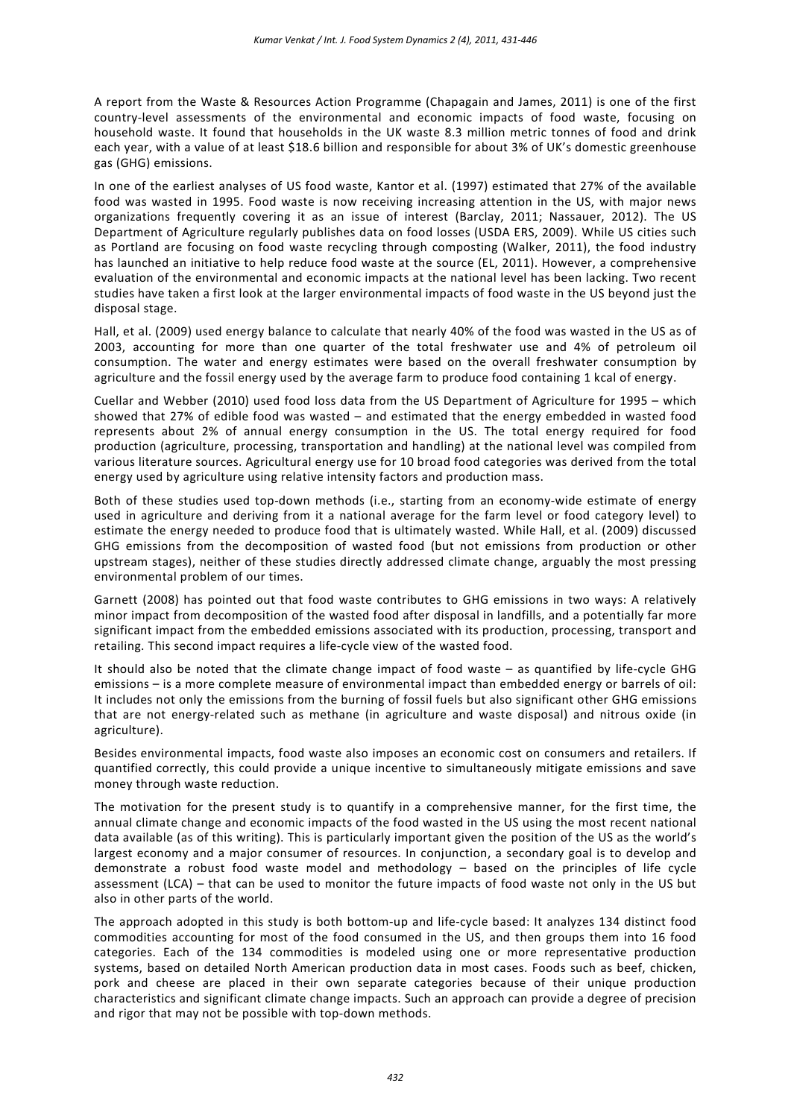A report from the Waste & Resources Action Programme (Chapagain and James, 2011) is one of the first country-level assessments of the environmental and economic impacts of food waste, focusing on household waste. It found that households in the UK waste 8.3 million metric tonnes of food and drink each year, with a value of at least \$18.6 billion and responsible for about 3% of UK's domestic greenhouse gas (GHG) emissions.

In one of the earliest analyses of US food waste, Kantor et al. (1997) estimated that 27% of the available food was wasted in 1995. Food waste is now receiving increasing attention in the US, with major news organizations frequently covering it as an issue of interest (Barclay, 2011; Nassauer, 2012). The US Department of Agriculture regularly publishes data on food losses (USDA ERS, 2009). While US cities such as Portland are focusing on food waste recycling through composting (Walker, 2011), the food industry has launched an initiative to help reduce food waste at the source (EL, 2011). However, a comprehensive evaluation of the environmental and economic impacts at the national level has been lacking. Two recent studies have taken a first look at the larger environmental impacts of food waste in the US beyond just the disposal stage.

Hall, et al. (2009) used energy balance to calculate that nearly 40% of the food was wasted in the US as of 2003, accounting for more than one quarter of the total freshwater use and 4% of petroleum oil consumption. The water and energy estimates were based on the overall freshwater consumption by agriculture and the fossil energy used by the average farm to produce food containing 1 kcal of energy.

Cuellar and Webber (2010) used food loss data from the US Department of Agriculture for 1995 – which showed that 27% of edible food was wasted – and estimated that the energy embedded in wasted food represents about 2% of annual energy consumption in the US. The total energy required for food production (agriculture, processing, transportation and handling) at the national level was compiled from various literature sources. Agricultural energy use for 10 broad food categories was derived from the total energy used by agriculture using relative intensity factors and production mass.

Both of these studies used top-down methods (i.e., starting from an economy-wide estimate of energy used in agriculture and deriving from it a national average for the farm level or food category level) to estimate the energy needed to produce food that is ultimately wasted. While Hall, et al. (2009) discussed GHG emissions from the decomposition of wasted food (but not emissions from production or other upstream stages), neither of these studies directly addressed climate change, arguably the most pressing environmental problem of our times.

Garnett (2008) has pointed out that food waste contributes to GHG emissions in two ways: A relatively minor impact from decomposition of the wasted food after disposal in landfills, and a potentially far more significant impact from the embedded emissions associated with its production, processing, transport and retailing. This second impact requires a life-cycle view of the wasted food.

It should also be noted that the climate change impact of food waste – as quantified by life-cycle GHG emissions – is a more complete measure of environmental impact than embedded energy or barrels of oil: It includes not only the emissions from the burning of fossil fuels but also significant other GHG emissions that are not energy-related such as methane (in agriculture and waste disposal) and nitrous oxide (in agriculture).

Besides environmental impacts, food waste also imposes an economic cost on consumers and retailers. If quantified correctly, this could provide a unique incentive to simultaneously mitigate emissions and save money through waste reduction.

The motivation for the present study is to quantify in a comprehensive manner, for the first time, the annual climate change and economic impacts of the food wasted in the US using the most recent national data available (as of this writing). This is particularly important given the position of the US as the world's largest economy and a major consumer of resources. In conjunction, a secondary goal is to develop and demonstrate a robust food waste model and methodology – based on the principles of life cycle assessment (LCA) – that can be used to monitor the future impacts of food waste not only in the US but also in other parts of the world.

The approach adopted in this study is both bottom-up and life-cycle based: It analyzes 134 distinct food commodities accounting for most of the food consumed in the US, and then groups them into 16 food categories. Each of the 134 commodities is modeled using one or more representative production systems, based on detailed North American production data in most cases. Foods such as beef, chicken, pork and cheese are placed in their own separate categories because of their unique production characteristics and significant climate change impacts. Such an approach can provide a degree of precision and rigor that may not be possible with top-down methods.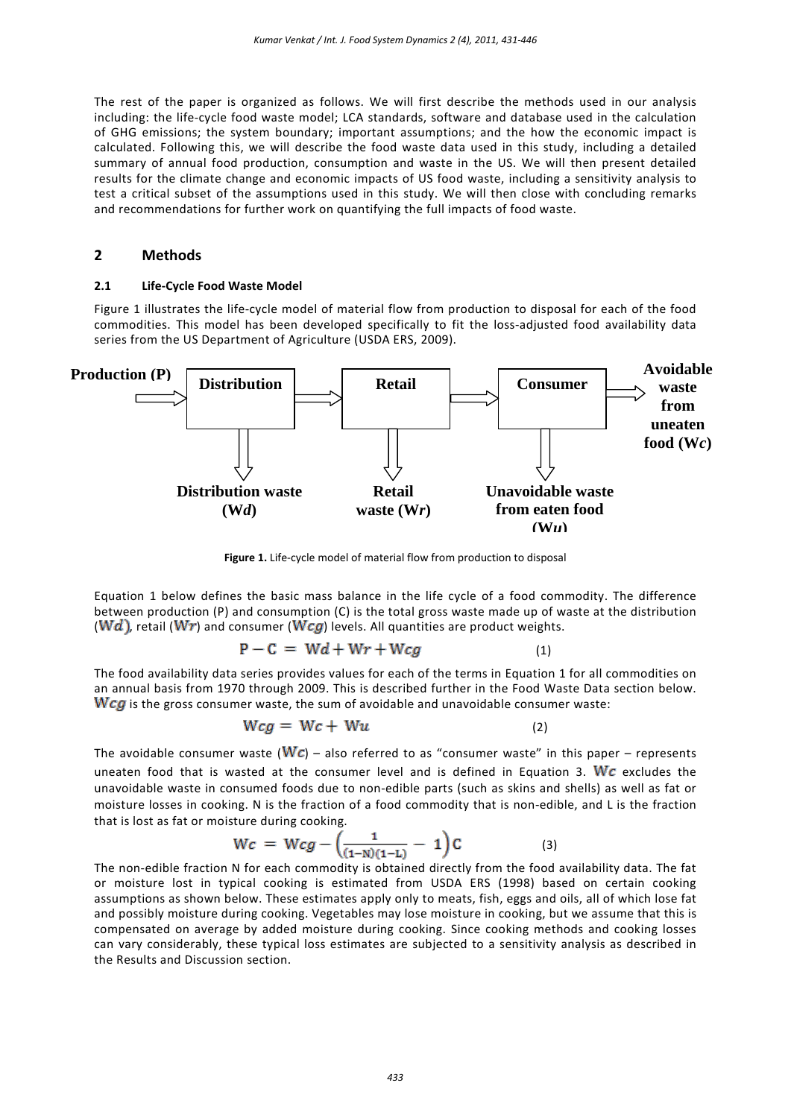The rest of the paper is organized as follows. We will first describe the methods used in our analysis including: the life-cycle food waste model; LCA standards, software and database used in the calculation of GHG emissions; the system boundary; important assumptions; and the how the economic impact is calculated. Following this, we will describe the food waste data used in this study, including a detailed summary of annual food production, consumption and waste in the US. We will then present detailed results for the climate change and economic impacts of US food waste, including a sensitivity analysis to test a critical subset of the assumptions used in this study. We will then close with concluding remarks and recommendations for further work on quantifying the full impacts of food waste.

## **2 Methods**

#### **2.1 Life-Cycle Food Waste Model**

Figure 1 illustrates the life-cycle model of material flow from production to disposal for each of the food commodities. This model has been developed specifically to fit the loss-adjusted food availability data series from the US Department of Agriculture (USDA ERS, 2009).



**Figure 1.** Life-cycle model of material flow from production to disposal

Equation 1 below defines the basic mass balance in the life cycle of a food commodity. The difference between production (P) and consumption (C) is the total gross waste made up of waste at the distribution (Wd), retail (Wr) and consumer (Wcg) levels. All quantities are product weights.

$$
P - C = Wd + Wr + Wcg \tag{1}
$$

The food availability data series provides values for each of the terms in Equation 1 for all commodities on an annual basis from 1970 through 2009. This is described further in the Food Waste Data section below.  $\mathbf{W}$  cg is the gross consumer waste, the sum of avoidable and unavoidable consumer waste:

$$
Wcg = Wc + Wu \tag{2}
$$

The avoidable consumer waste ( $Wc$ ) – also referred to as "consumer waste" in this paper – represents uneaten food that is wasted at the consumer level and is defined in Equation 3. We excludes the unavoidable waste in consumed foods due to non-edible parts (such as skins and shells) as well as fat or moisture losses in cooking. N is the fraction of a food commodity that is non-edible, and L is the fraction that is lost as fat or moisture during cooking.

$$
Wc = Wcg - \left(\frac{1}{(1-N)(1-L)} - 1\right)C
$$
 (3)

The non-edible fraction N for each commodity is obtained directly from the food availability data. The fat or moisture lost in typical cooking is estimated from USDA ERS (1998) based on certain cooking assumptions as shown below. These estimates apply only to meats, fish, eggs and oils, all of which lose fat and possibly moisture during cooking. Vegetables may lose moisture in cooking, but we assume that this is compensated on average by added moisture during cooking. Since cooking methods and cooking losses can vary considerably, these typical loss estimates are subjected to a sensitivity analysis as described in the Results and Discussion section.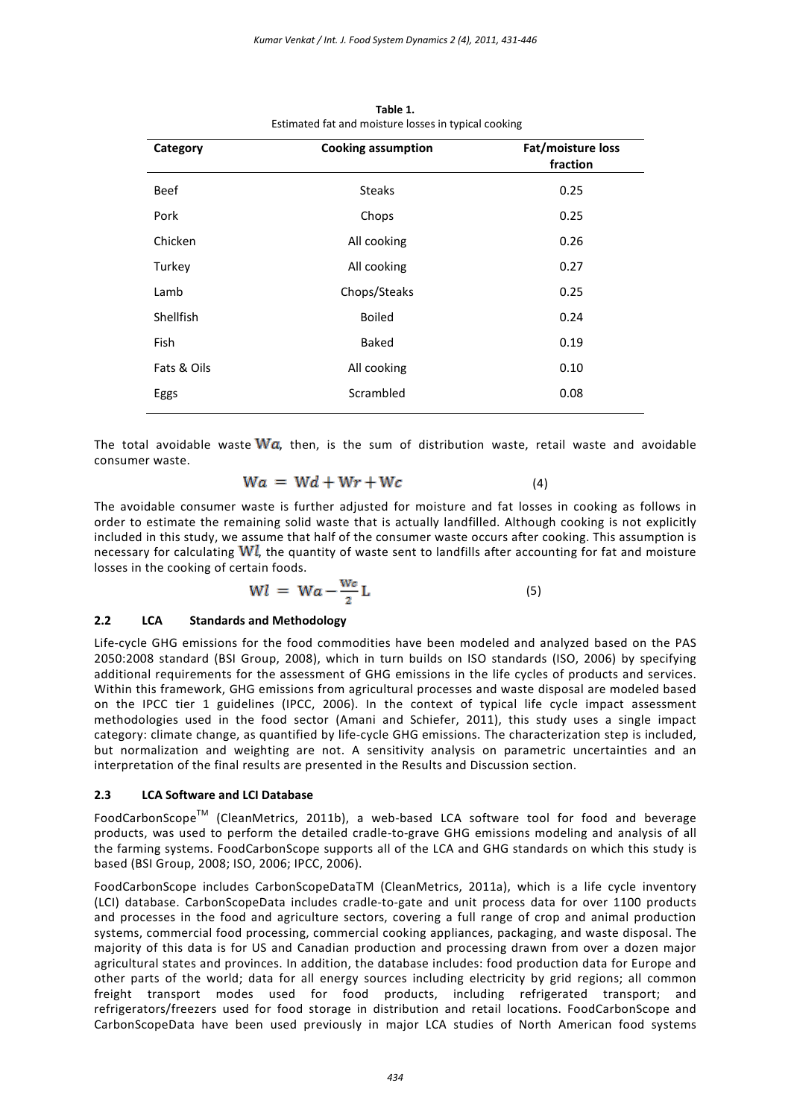| Fat/moisture loss<br>fraction |  |  |
|-------------------------------|--|--|
| 0.25                          |  |  |
| 0.25                          |  |  |
| 0.26                          |  |  |
| 0.27                          |  |  |
| 0.25                          |  |  |
| 0.24                          |  |  |
| 0.19                          |  |  |
| 0.10                          |  |  |
| 0.08                          |  |  |
|                               |  |  |

**Table 1.** Estimated fat and moisture losses in typical cooking

The total avoidable waste  $W\alpha$ , then, is the sum of distribution waste, retail waste and avoidable consumer waste.

$$
Wa = Wd + Wr + Wc \qquad (4)
$$

The avoidable consumer waste is further adjusted for moisture and fat losses in cooking as follows in order to estimate the remaining solid waste that is actually landfilled. Although cooking is not explicitly included in this study, we assume that half of the consumer waste occurs after cooking. This assumption is necessary for calculating  $\mathbf{W}$ , the quantity of waste sent to landfills after accounting for fat and moisture losses in the cooking of certain foods.

$$
Wl = Wa - \frac{w_c}{2}L \tag{5}
$$

#### **2.2 LCA Standards and Methodology**

Life-cycle GHG emissions for the food commodities have been modeled and analyzed based on the PAS 2050:2008 standard (BSI Group, 2008), which in turn builds on ISO standards (ISO, 2006) by specifying additional requirements for the assessment of GHG emissions in the life cycles of products and services. Within this framework, GHG emissions from agricultural processes and waste disposal are modeled based on the IPCC tier 1 guidelines (IPCC, 2006). In the context of typical life cycle impact assessment methodologies used in the food sector (Amani and Schiefer, 2011), this study uses a single impact category: climate change, as quantified by life-cycle GHG emissions. The characterization step is included, but normalization and weighting are not. A sensitivity analysis on parametric uncertainties and an interpretation of the final results are presented in the Results and Discussion section.

#### **2.3 LCA Software and LCI Database**

FoodCarbonScopeTM (CleanMetrics, 2011b), a web-based LCA software tool for food and beverage products, was used to perform the detailed cradle-to-grave GHG emissions modeling and analysis of all the farming systems. FoodCarbonScope supports all of the LCA and GHG standards on which this study is based (BSI Group, 2008; ISO, 2006; IPCC, 2006).

FoodCarbonScope includes CarbonScopeDataTM (CleanMetrics, 2011a), which is a life cycle inventory (LCI) database. CarbonScopeData includes cradle-to-gate and unit process data for over 1100 products and processes in the food and agriculture sectors, covering a full range of crop and animal production systems, commercial food processing, commercial cooking appliances, packaging, and waste disposal. The majority of this data is for US and Canadian production and processing drawn from over a dozen major agricultural states and provinces. In addition, the database includes: food production data for Europe and other parts of the world; data for all energy sources including electricity by grid regions; all common freight transport modes used for food products, including refrigerated transport; and refrigerators/freezers used for food storage in distribution and retail locations. FoodCarbonScope and CarbonScopeData have been used previously in major LCA studies of North American food systems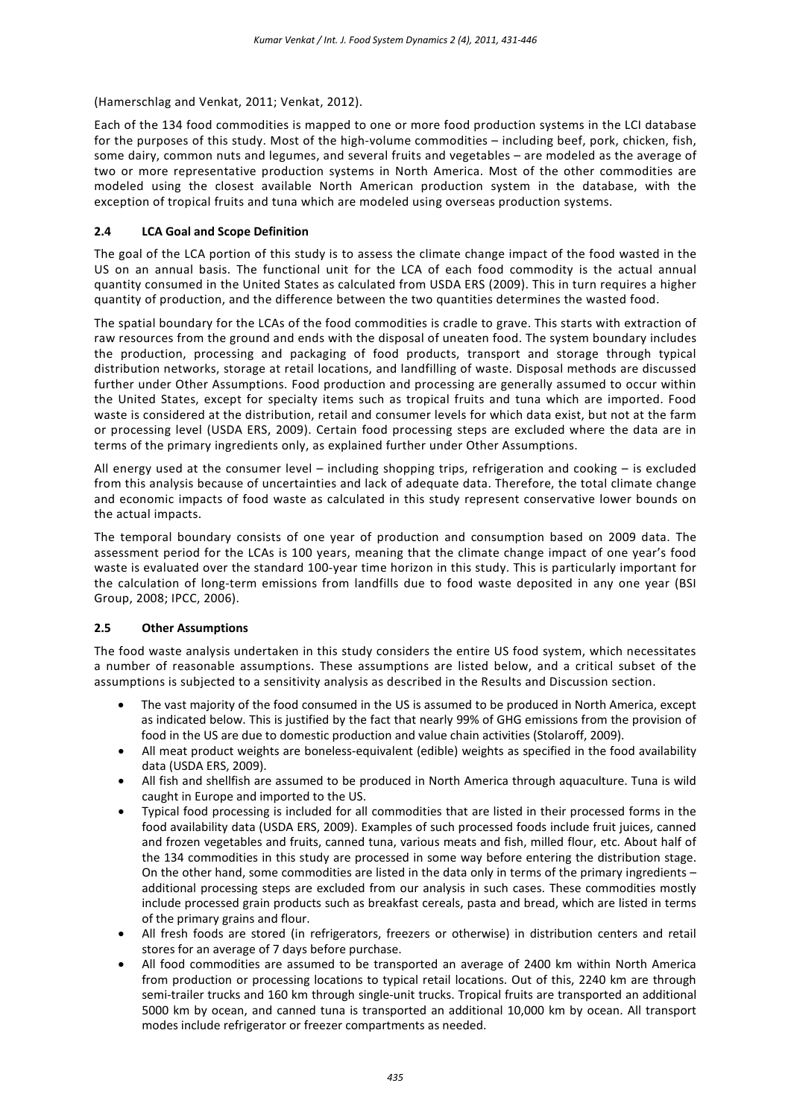(Hamerschlag and Venkat, 2011; Venkat, 2012).

Each of the 134 food commodities is mapped to one or more food production systems in the LCI database for the purposes of this study. Most of the high-volume commodities – including beef, pork, chicken, fish, some dairy, common nuts and legumes, and several fruits and vegetables – are modeled as the average of two or more representative production systems in North America. Most of the other commodities are modeled using the closest available North American production system in the database, with the exception of tropical fruits and tuna which are modeled using overseas production systems.

#### **2.4 LCA Goal and Scope Definition**

The goal of the LCA portion of this study is to assess the climate change impact of the food wasted in the US on an annual basis. The functional unit for the LCA of each food commodity is the actual annual quantity consumed in the United States as calculated from USDA ERS (2009). This in turn requires a higher quantity of production, and the difference between the two quantities determines the wasted food.

The spatial boundary for the LCAs of the food commodities is cradle to grave. This starts with extraction of raw resources from the ground and ends with the disposal of uneaten food. The system boundary includes the production, processing and packaging of food products, transport and storage through typical distribution networks, storage at retail locations, and landfilling of waste. Disposal methods are discussed further under Other Assumptions. Food production and processing are generally assumed to occur within the United States, except for specialty items such as tropical fruits and tuna which are imported. Food waste is considered at the distribution, retail and consumer levels for which data exist, but not at the farm or processing level (USDA ERS, 2009). Certain food processing steps are excluded where the data are in terms of the primary ingredients only, as explained further under Other Assumptions.

All energy used at the consumer level – including shopping trips, refrigeration and cooking – is excluded from this analysis because of uncertainties and lack of adequate data. Therefore, the total climate change and economic impacts of food waste as calculated in this study represent conservative lower bounds on the actual impacts.

The temporal boundary consists of one year of production and consumption based on 2009 data. The assessment period for the LCAs is 100 years, meaning that the climate change impact of one year's food waste is evaluated over the standard 100-year time horizon in this study. This is particularly important for the calculation of long-term emissions from landfills due to food waste deposited in any one year (BSI Group, 2008; IPCC, 2006).

#### **2.5 Other Assumptions**

The food waste analysis undertaken in this study considers the entire US food system, which necessitates a number of reasonable assumptions. These assumptions are listed below, and a critical subset of the assumptions is subjected to a sensitivity analysis as described in the Results and Discussion section.

- The vast majority of the food consumed in the US is assumed to be produced in North America, except as indicated below. This is justified by the fact that nearly 99% of GHG emissions from the provision of food in the US are due to domestic production and value chain activities (Stolaroff, 2009).
- All meat product weights are boneless-equivalent (edible) weights as specified in the food availability data (USDA ERS, 2009).
- All fish and shellfish are assumed to be produced in North America through aquaculture. Tuna is wild caught in Europe and imported to the US.
- Typical food processing is included for all commodities that are listed in their processed forms in the food availability data (USDA ERS, 2009). Examples of such processed foods include fruit juices, canned and frozen vegetables and fruits, canned tuna, various meats and fish, milled flour, etc. About half of the 134 commodities in this study are processed in some way before entering the distribution stage. On the other hand, some commodities are listed in the data only in terms of the primary ingredients – additional processing steps are excluded from our analysis in such cases. These commodities mostly include processed grain products such as breakfast cereals, pasta and bread, which are listed in terms of the primary grains and flour.
- All fresh foods are stored (in refrigerators, freezers or otherwise) in distribution centers and retail stores for an average of 7 days before purchase.
- All food commodities are assumed to be transported an average of 2400 km within North America from production or processing locations to typical retail locations. Out of this, 2240 km are through semi-trailer trucks and 160 km through single-unit trucks. Tropical fruits are transported an additional 5000 km by ocean, and canned tuna is transported an additional 10,000 km by ocean. All transport modes include refrigerator or freezer compartments as needed.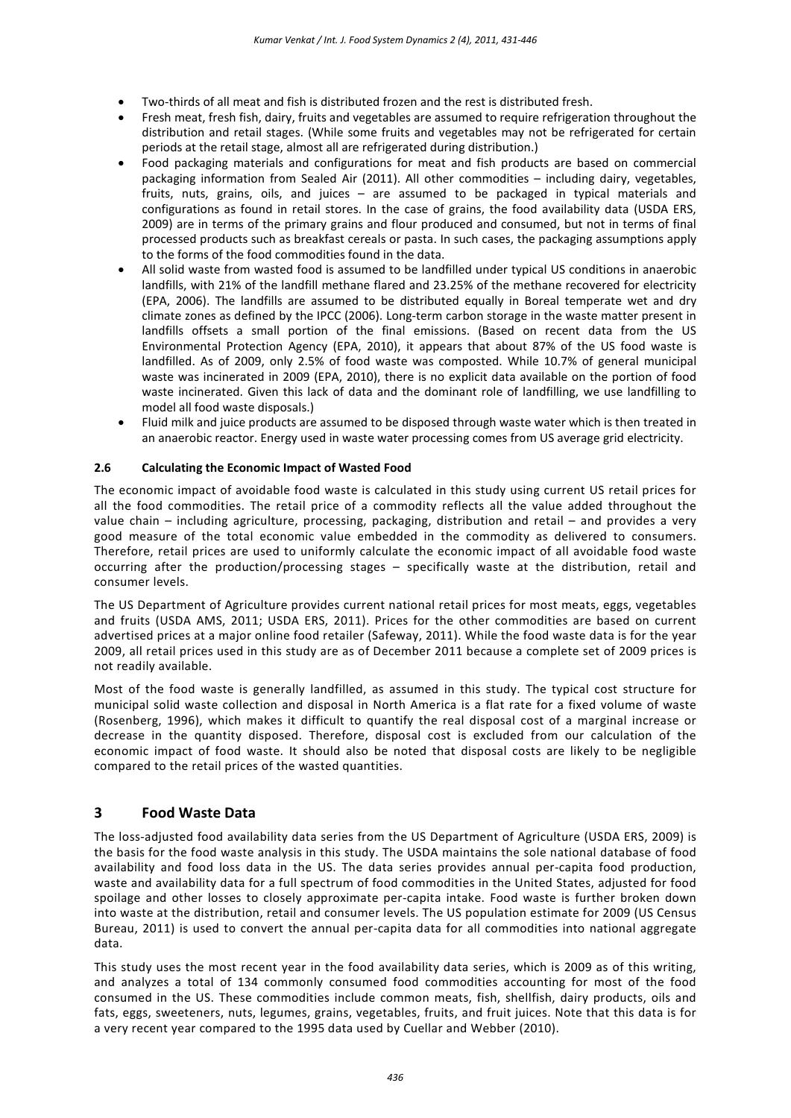- Two-thirds of all meat and fish is distributed frozen and the rest is distributed fresh.
- Fresh meat, fresh fish, dairy, fruits and vegetables are assumed to require refrigeration throughout the distribution and retail stages. (While some fruits and vegetables may not be refrigerated for certain periods at the retail stage, almost all are refrigerated during distribution.)
- Food packaging materials and configurations for meat and fish products are based on commercial packaging information from Sealed Air (2011). All other commodities – including dairy, vegetables, fruits, nuts, grains, oils, and juices – are assumed to be packaged in typical materials and configurations as found in retail stores. In the case of grains, the food availability data (USDA ERS, 2009) are in terms of the primary grains and flour produced and consumed, but not in terms of final processed products such as breakfast cereals or pasta. In such cases, the packaging assumptions apply to the forms of the food commodities found in the data.
- All solid waste from wasted food is assumed to be landfilled under typical US conditions in anaerobic landfills, with 21% of the landfill methane flared and 23.25% of the methane recovered for electricity (EPA, 2006). The landfills are assumed to be distributed equally in Boreal temperate wet and dry climate zones as defined by the IPCC (2006). Long-term carbon storage in the waste matter present in landfills offsets a small portion of the final emissions. (Based on recent data from the US Environmental Protection Agency (EPA, 2010), it appears that about 87% of the US food waste is landfilled. As of 2009, only 2.5% of food waste was composted. While 10.7% of general municipal waste was incinerated in 2009 (EPA, 2010), there is no explicit data available on the portion of food waste incinerated. Given this lack of data and the dominant role of landfilling, we use landfilling to model all food waste disposals.)
- Fluid milk and juice products are assumed to be disposed through waste water which is then treated in an anaerobic reactor. Energy used in waste water processing comes from US average grid electricity.

#### **2.6 Calculating the Economic Impact of Wasted Food**

The economic impact of avoidable food waste is calculated in this study using current US retail prices for all the food commodities. The retail price of a commodity reflects all the value added throughout the value chain – including agriculture, processing, packaging, distribution and retail – and provides a very good measure of the total economic value embedded in the commodity as delivered to consumers. Therefore, retail prices are used to uniformly calculate the economic impact of all avoidable food waste occurring after the production/processing stages – specifically waste at the distribution, retail and consumer levels.

The US Department of Agriculture provides current national retail prices for most meats, eggs, vegetables and fruits (USDA AMS, 2011; USDA ERS, 2011). Prices for the other commodities are based on current advertised prices at a major online food retailer (Safeway, 2011). While the food waste data is for the year 2009, all retail prices used in this study are as of December 2011 because a complete set of 2009 prices is not readily available.

Most of the food waste is generally landfilled, as assumed in this study. The typical cost structure for municipal solid waste collection and disposal in North America is a flat rate for a fixed volume of waste (Rosenberg, 1996), which makes it difficult to quantify the real disposal cost of a marginal increase or decrease in the quantity disposed. Therefore, disposal cost is excluded from our calculation of the economic impact of food waste. It should also be noted that disposal costs are likely to be negligible compared to the retail prices of the wasted quantities.

## **3 Food Waste Data**

The loss-adjusted food availability data series from the US Department of Agriculture (USDA ERS, 2009) is the basis for the food waste analysis in this study. The USDA maintains the sole national database of food availability and food loss data in the US. The data series provides annual per-capita food production, waste and availability data for a full spectrum of food commodities in the United States, adjusted for food spoilage and other losses to closely approximate per-capita intake. Food waste is further broken down into waste at the distribution, retail and consumer levels. The US population estimate for 2009 (US Census Bureau, 2011) is used to convert the annual per-capita data for all commodities into national aggregate data.

This study uses the most recent year in the food availability data series, which is 2009 as of this writing, and analyzes a total of 134 commonly consumed food commodities accounting for most of the food consumed in the US. These commodities include common meats, fish, shellfish, dairy products, oils and fats, eggs, sweeteners, nuts, legumes, grains, vegetables, fruits, and fruit juices. Note that this data is for a very recent year compared to the 1995 data used by Cuellar and Webber (2010).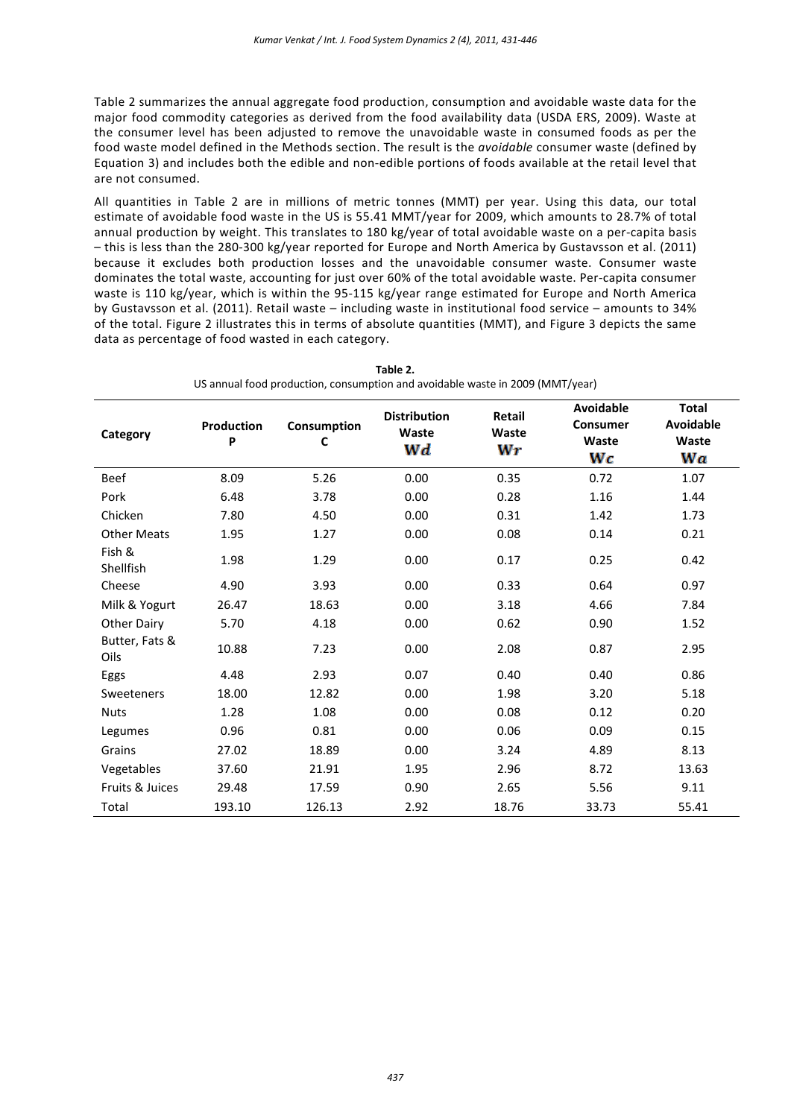Table 2 summarizes the annual aggregate food production, consumption and avoidable waste data for the major food commodity categories as derived from the food availability data (USDA ERS, 2009). Waste at the consumer level has been adjusted to remove the unavoidable waste in consumed foods as per the food waste model defined in the Methods section. The result is the *avoidable* consumer waste (defined by Equation 3) and includes both the edible and non-edible portions of foods available at the retail level that are not consumed.

All quantities in Table 2 are in millions of metric tonnes (MMT) per year. Using this data, our total estimate of avoidable food waste in the US is 55.41 MMT/year for 2009, which amounts to 28.7% of total annual production by weight. This translates to 180 kg/year of total avoidable waste on a per-capita basis – this is less than the 280-300 kg/year reported for Europe and North America by Gustavsson et al. (2011) because it excludes both production losses and the unavoidable consumer waste. Consumer waste dominates the total waste, accounting for just over 60% of the total avoidable waste. Per-capita consumer waste is 110 kg/year, which is within the 95-115 kg/year range estimated for Europe and North America by Gustavsson et al. (2011). Retail waste – including waste in institutional food service – amounts to 34% of the total. Figure 2 illustrates this in terms of absolute quantities (MMT), and Figure 3 depicts the same data as percentage of food wasted in each category.

| Category                   | <b>Production</b><br>P | Consumption<br>C | <b>Distribution</b><br>Waste<br>Wd | Retail<br>Waste<br>Wr | <b>Avoidable</b><br><b>Consumer</b><br>Waste<br>Wc | <b>Total</b><br><b>Avoidable</b><br>Waste<br>Wa |
|----------------------------|------------------------|------------------|------------------------------------|-----------------------|----------------------------------------------------|-------------------------------------------------|
| <b>Beef</b>                | 8.09                   | 5.26             | 0.00                               | 0.35                  | 0.72                                               | 1.07                                            |
| Pork                       | 6.48                   | 3.78             | 0.00                               | 0.28                  | 1.16                                               | 1.44                                            |
| Chicken                    | 7.80                   | 4.50             | 0.00                               | 0.31                  | 1.42                                               | 1.73                                            |
| <b>Other Meats</b>         | 1.95                   | 1.27             | 0.00                               | 0.08                  | 0.14                                               | 0.21                                            |
| Fish &<br><b>Shellfish</b> | 1.98                   | 1.29             | 0.00                               | 0.17                  | 0.25                                               | 0.42                                            |
| Cheese                     | 4.90                   | 3.93             | 0.00                               | 0.33                  | 0.64                                               | 0.97                                            |
| Milk & Yogurt              | 26.47                  | 18.63            | 0.00                               | 3.18                  | 4.66                                               | 7.84                                            |
| Other Dairy                | 5.70                   | 4.18             | 0.00                               | 0.62                  | 0.90                                               | 1.52                                            |
| Butter, Fats &<br>Oils     | 10.88                  | 7.23             | 0.00                               | 2.08                  | 0.87                                               | 2.95                                            |
| Eggs                       | 4.48                   | 2.93             | 0.07                               | 0.40                  | 0.40                                               | 0.86                                            |
| Sweeteners                 | 18.00                  | 12.82            | 0.00                               | 1.98                  | 3.20                                               | 5.18                                            |
| <b>Nuts</b>                | 1.28                   | 1.08             | 0.00                               | 0.08                  | 0.12                                               | 0.20                                            |
| Legumes                    | 0.96                   | 0.81             | 0.00                               | 0.06                  | 0.09                                               | 0.15                                            |
| Grains                     | 27.02                  | 18.89            | 0.00                               | 3.24                  | 4.89                                               | 8.13                                            |
| Vegetables                 | 37.60                  | 21.91            | 1.95                               | 2.96                  | 8.72                                               | 13.63                                           |
| Fruits & Juices            | 29.48                  | 17.59            | 0.90                               | 2.65                  | 5.56                                               | 9.11                                            |
| Total                      | 193.10                 | 126.13           | 2.92                               | 18.76                 | 33.73                                              | 55.41                                           |

**Table 2.**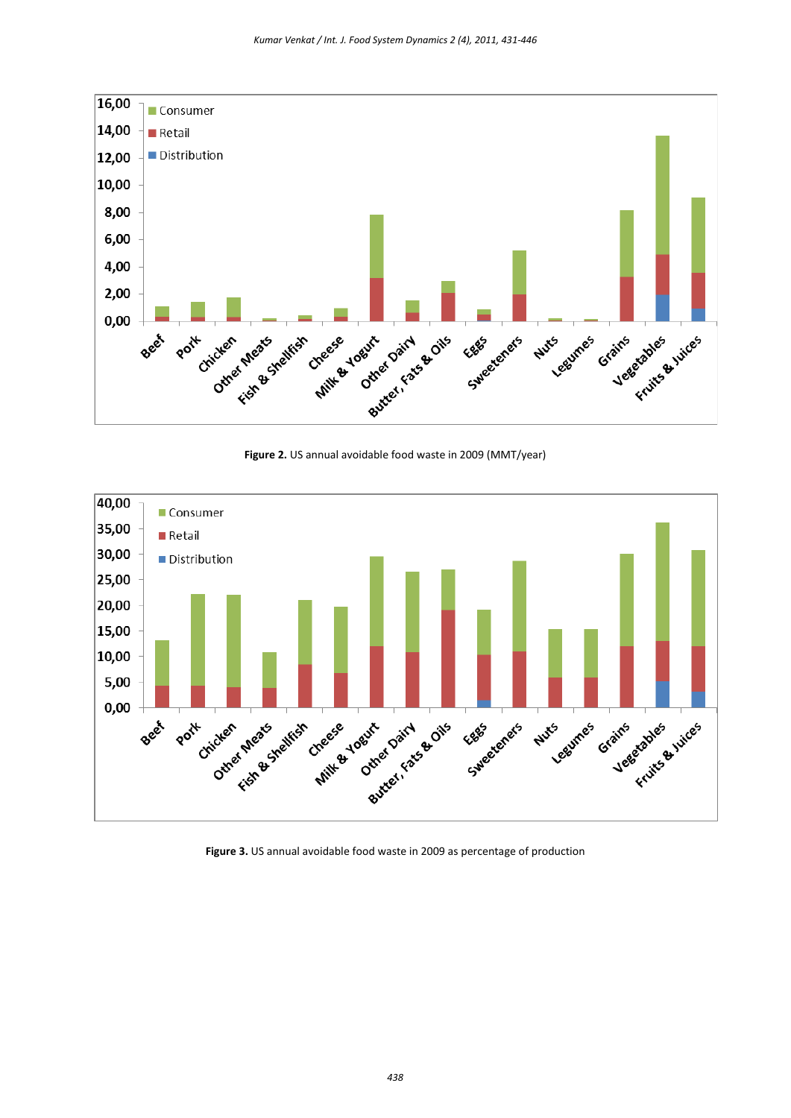

**Figure 2.** US annual avoidable food waste in 2009 (MMT/year)



**Figure 3.** US annual avoidable food waste in 2009 as percentage of production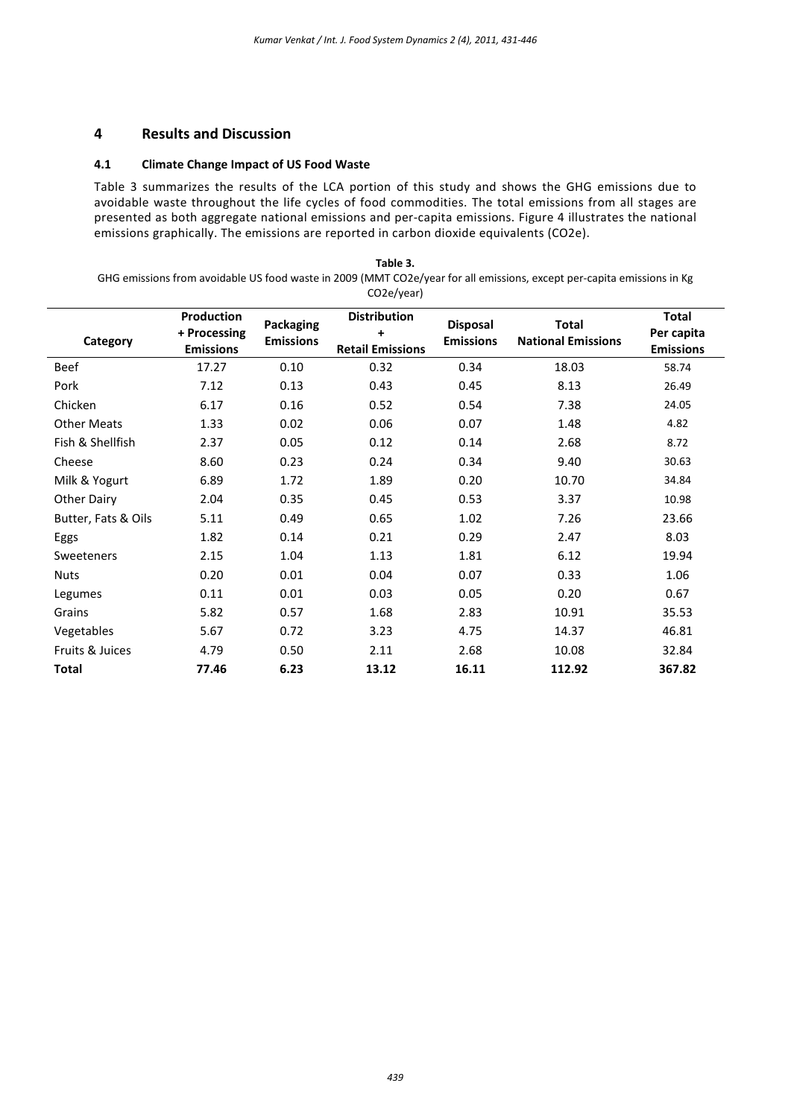## **4 Results and Discussion**

### **4.1 Climate Change Impact of US Food Waste**

Table 3 summarizes the results of the LCA portion of this study and shows the GHG emissions due to avoidable waste throughout the life cycles of food commodities. The total emissions from all stages are presented as both aggregate national emissions and per-capita emissions. Figure 4 illustrates the national emissions graphically. The emissions are reported in carbon dioxide equivalents (CO2e).

**Table 3.** GHG emissions from avoidable US food waste in 2009 (MMT CO2e/year for all emissions, except per-capita emissions in Kg CO2e/year)

| Category            | <b>Production</b><br>+ Processing<br><b>Emissions</b> | Packaging<br><b>Emissions</b> | <b>Distribution</b><br>+<br><b>Retail Emissions</b> | <b>Disposal</b><br><b>Emissions</b> | <b>Total</b><br><b>National Emissions</b> | <b>Total</b><br>Per capita<br><b>Emissions</b> |
|---------------------|-------------------------------------------------------|-------------------------------|-----------------------------------------------------|-------------------------------------|-------------------------------------------|------------------------------------------------|
| Beef                | 17.27                                                 | 0.10                          | 0.32                                                | 0.34                                | 18.03                                     | 58.74                                          |
| Pork                | 7.12                                                  | 0.13                          | 0.43                                                | 0.45                                | 8.13                                      | 26.49                                          |
| Chicken             | 6.17                                                  | 0.16                          | 0.52                                                | 0.54                                | 7.38                                      | 24.05                                          |
| <b>Other Meats</b>  | 1.33                                                  | 0.02                          | 0.06                                                | 0.07                                | 1.48                                      | 4.82                                           |
| Fish & Shellfish    | 2.37                                                  | 0.05                          | 0.12                                                | 0.14                                | 2.68                                      | 8.72                                           |
| Cheese              | 8.60                                                  | 0.23                          | 0.24                                                | 0.34                                | 9.40                                      | 30.63                                          |
| Milk & Yogurt       | 6.89                                                  | 1.72                          | 1.89                                                | 0.20                                | 10.70                                     | 34.84                                          |
| Other Dairy         | 2.04                                                  | 0.35                          | 0.45                                                | 0.53                                | 3.37                                      | 10.98                                          |
| Butter, Fats & Oils | 5.11                                                  | 0.49                          | 0.65                                                | 1.02                                | 7.26                                      | 23.66                                          |
| Eggs                | 1.82                                                  | 0.14                          | 0.21                                                | 0.29                                | 2.47                                      | 8.03                                           |
| Sweeteners          | 2.15                                                  | 1.04                          | 1.13                                                | 1.81                                | 6.12                                      | 19.94                                          |
| <b>Nuts</b>         | 0.20                                                  | 0.01                          | 0.04                                                | 0.07                                | 0.33                                      | 1.06                                           |
| Legumes             | 0.11                                                  | 0.01                          | 0.03                                                | 0.05                                | 0.20                                      | 0.67                                           |
| Grains              | 5.82                                                  | 0.57                          | 1.68                                                | 2.83                                | 10.91                                     | 35.53                                          |
| Vegetables          | 5.67                                                  | 0.72                          | 3.23                                                | 4.75                                | 14.37                                     | 46.81                                          |
| Fruits & Juices     | 4.79                                                  | 0.50                          | 2.11                                                | 2.68                                | 10.08                                     | 32.84                                          |
| <b>Total</b>        | 77.46                                                 | 6.23                          | 13.12                                               | 16.11                               | 112.92                                    | 367.82                                         |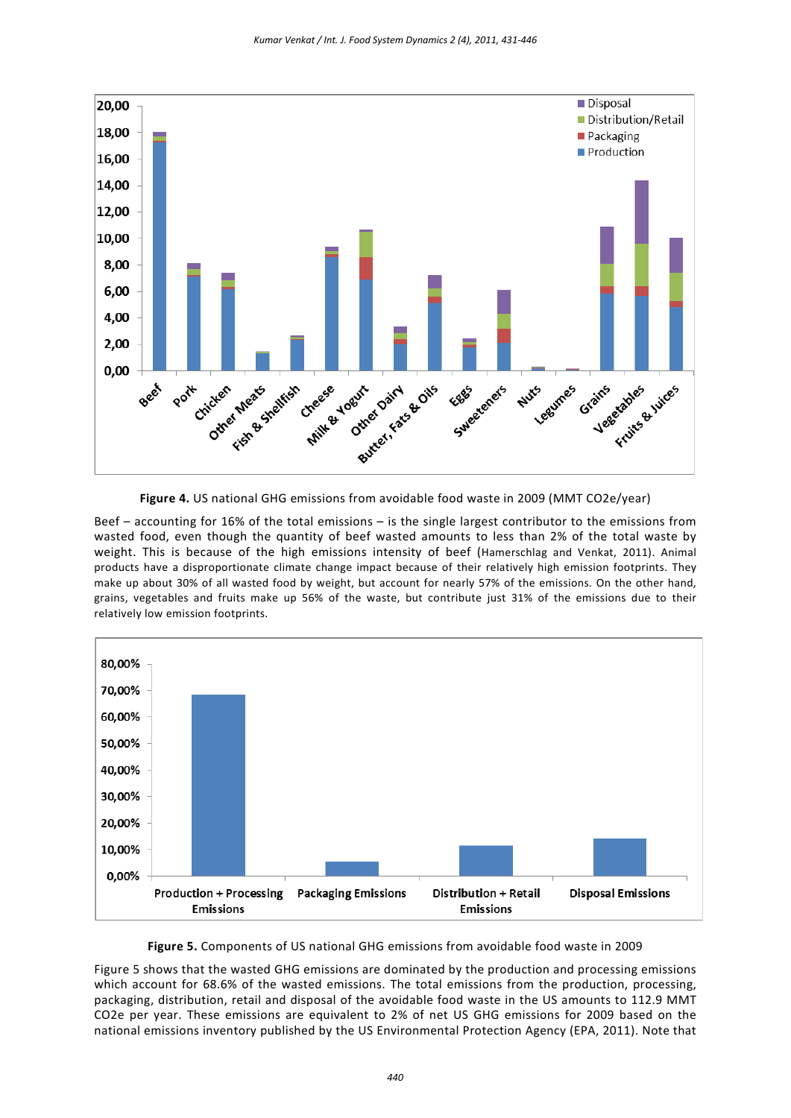

**Figure 4.** US national GHG emissions from avoidable food waste in 2009 (MMT CO2e/year)

Beef – accounting for 16% of the total emissions – is the single largest contributor to the emissions from wasted food, even though the quantity of beef wasted amounts to less than 2% of the total waste by weight. This is because of the high emissions intensity of beef (Hamerschlag and Venkat, 2011). Animal products have a disproportionate climate change impact because of their relatively high emission footprints. They make up about 30% of all wasted food by weight, but account for nearly 57% of the emissions. On the other hand, grains, vegetables and fruits make up 56% of the waste, but contribute just 31% of the emissions due to their relatively low emission footprints.



**Figure 5.** Components of US national GHG emissions from avoidable food waste in 2009

Figure 5 shows that the wasted GHG emissions are dominated by the production and processing emissions which account for 68.6% of the wasted emissions. The total emissions from the production, processing, packaging, distribution, retail and disposal of the avoidable food waste in the US amounts to 112.9 MMT CO2e per year. These emissions are equivalent to 2% of net US GHG emissions for 2009 based on the national emissions inventory published by the US Environmental Protection Agency (EPA, 2011). Note that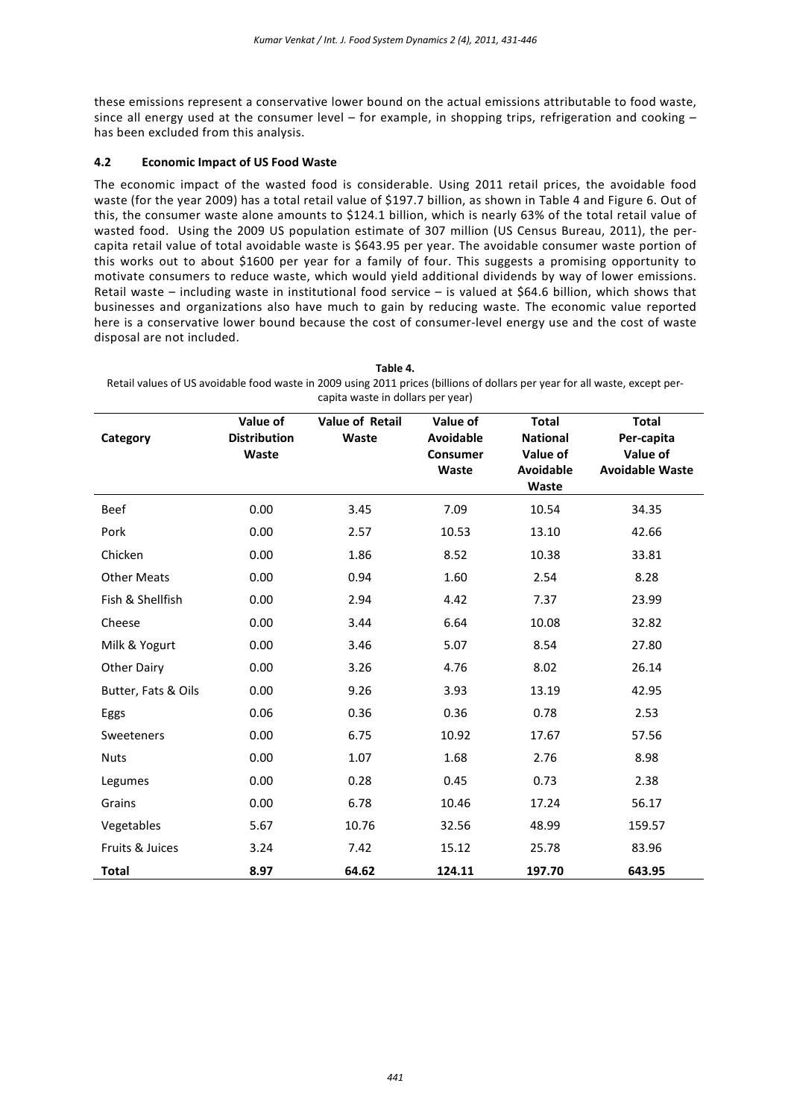these emissions represent a conservative lower bound on the actual emissions attributable to food waste, since all energy used at the consumer level – for example, in shopping trips, refrigeration and cooking – has been excluded from this analysis.

#### **4.2 Economic Impact of US Food Waste**

The economic impact of the wasted food is considerable. Using 2011 retail prices, the avoidable food waste (for the year 2009) has a total retail value of \$197.7 billion, as shown in Table 4 and Figure 6. Out of this, the consumer waste alone amounts to \$124.1 billion, which is nearly 63% of the total retail value of wasted food. Using the 2009 US population estimate of 307 million (US Census Bureau, 2011), the percapita retail value of total avoidable waste is \$643.95 per year. The avoidable consumer waste portion of this works out to about \$1600 per year for a family of four. This suggests a promising opportunity to motivate consumers to reduce waste, which would yield additional dividends by way of lower emissions. Retail waste – including waste in institutional food service – is valued at \$64.6 billion, which shows that businesses and organizations also have much to gain by reducing waste. The economic value reported here is a conservative lower bound because the cost of consumer-level energy use and the cost of waste disposal are not included.

**Table 4.**

| Category            | Value of<br><b>Distribution</b> | <b>Value of Retail</b><br>Waste | Value of<br>Avoidable    | <b>Total</b><br><b>National</b> | <b>Total</b><br>Per-capita         |
|---------------------|---------------------------------|---------------------------------|--------------------------|---------------------------------|------------------------------------|
|                     | Waste                           |                                 | <b>Consumer</b><br>Waste | Value of<br>Avoidable<br>Waste  | Value of<br><b>Avoidable Waste</b> |
| Beef                | 0.00                            | 3.45                            | 7.09                     | 10.54                           | 34.35                              |
| Pork                | 0.00                            | 2.57                            | 10.53                    | 13.10                           | 42.66                              |
| Chicken             | 0.00                            | 1.86                            | 8.52                     | 10.38                           | 33.81                              |
| <b>Other Meats</b>  | 0.00                            | 0.94                            | 1.60                     | 2.54                            | 8.28                               |
| Fish & Shellfish    | 0.00                            | 2.94                            | 4.42                     | 7.37                            | 23.99                              |
| Cheese              | 0.00                            | 3.44                            | 6.64                     | 10.08                           | 32.82                              |
| Milk & Yogurt       | 0.00                            | 3.46                            | 5.07                     | 8.54                            | 27.80                              |
| <b>Other Dairy</b>  | 0.00                            | 3.26                            | 4.76                     | 8.02                            | 26.14                              |
| Butter, Fats & Oils | 0.00                            | 9.26                            | 3.93                     | 13.19                           | 42.95                              |
| Eggs                | 0.06                            | 0.36                            | 0.36                     | 0.78                            | 2.53                               |
| Sweeteners          | 0.00                            | 6.75                            | 10.92                    | 17.67                           | 57.56                              |
| <b>Nuts</b>         | 0.00                            | 1.07                            | 1.68                     | 2.76                            | 8.98                               |
| Legumes             | 0.00                            | 0.28                            | 0.45                     | 0.73                            | 2.38                               |
| Grains              | 0.00                            | 6.78                            | 10.46                    | 17.24                           | 56.17                              |
| Vegetables          | 5.67                            | 10.76                           | 32.56                    | 48.99                           | 159.57                             |
| Fruits & Juices     | 3.24                            | 7.42                            | 15.12                    | 25.78                           | 83.96                              |
| <b>Total</b>        | 8.97                            | 64.62                           | 124.11                   | 197.70                          | 643.95                             |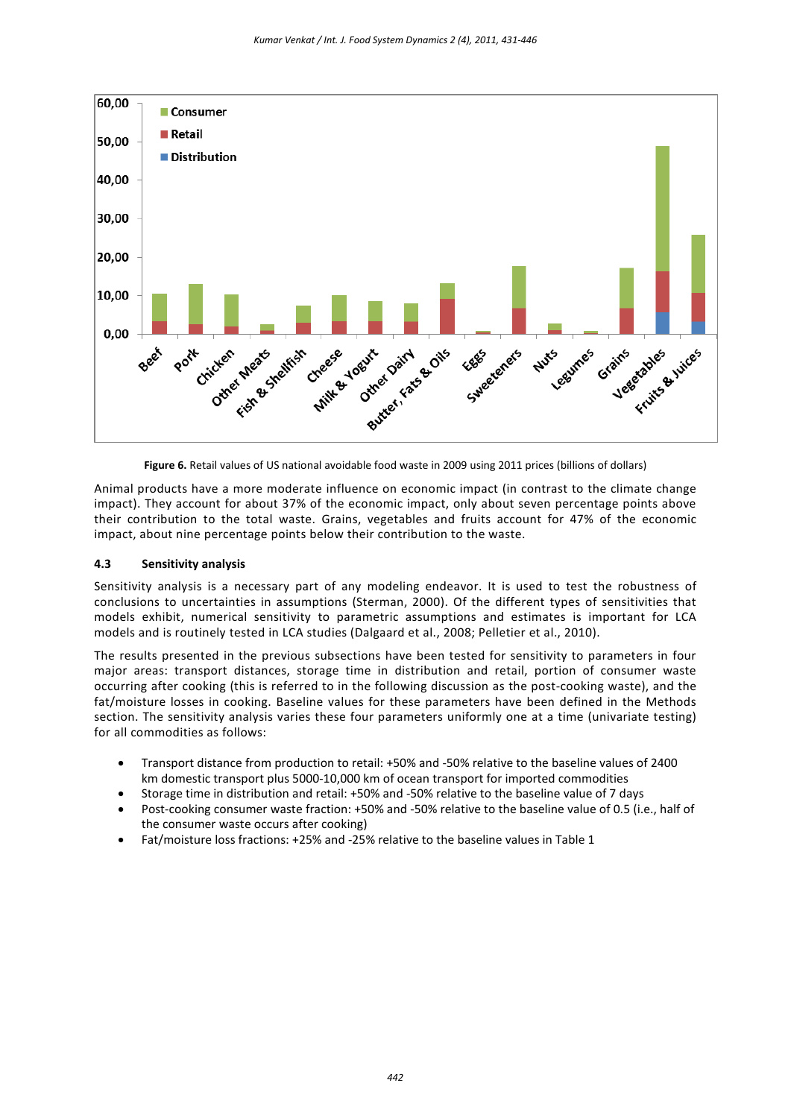

**Figure 6.** Retail values of US national avoidable food waste in 2009 using 2011 prices (billions of dollars)

Animal products have a more moderate influence on economic impact (in contrast to the climate change impact). They account for about 37% of the economic impact, only about seven percentage points above their contribution to the total waste. Grains, vegetables and fruits account for 47% of the economic impact, about nine percentage points below their contribution to the waste.

#### **4.3 Sensitivity analysis**

Sensitivity analysis is a necessary part of any modeling endeavor. It is used to test the robustness of conclusions to uncertainties in assumptions (Sterman, 2000). Of the different types of sensitivities that models exhibit, numerical sensitivity to parametric assumptions and estimates is important for LCA models and is routinely tested in LCA studies (Dalgaard et al., 2008; Pelletier et al., 2010).

The results presented in the previous subsections have been tested for sensitivity to parameters in four major areas: transport distances, storage time in distribution and retail, portion of consumer waste occurring after cooking (this is referred to in the following discussion as the post-cooking waste), and the fat/moisture losses in cooking. Baseline values for these parameters have been defined in the Methods section. The sensitivity analysis varies these four parameters uniformly one at a time (univariate testing) for all commodities as follows:

- Transport distance from production to retail: +50% and -50% relative to the baseline values of 2400 km domestic transport plus 5000-10,000 km of ocean transport for imported commodities
- Storage time in distribution and retail: +50% and -50% relative to the baseline value of 7 days
- Post-cooking consumer waste fraction: +50% and -50% relative to the baseline value of 0.5 (i.e., half of the consumer waste occurs after cooking)
- Fat/moisture loss fractions: +25% and -25% relative to the baseline values in Table 1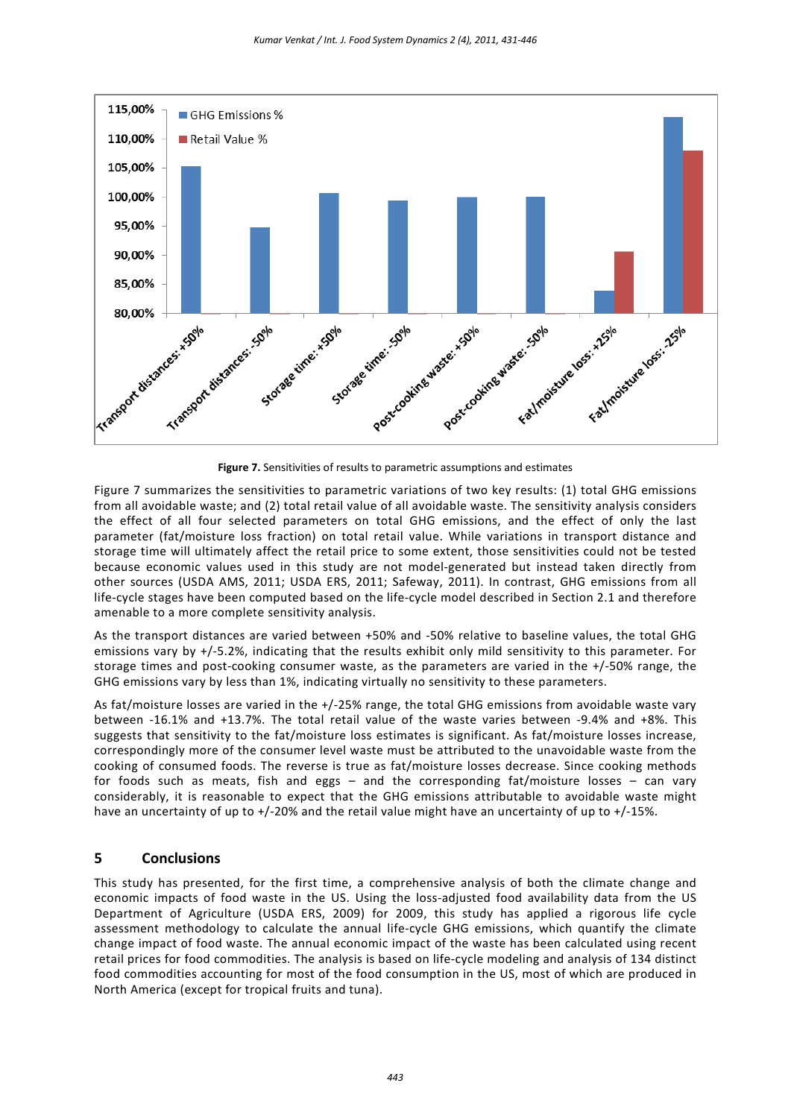

**Figure 7.** Sensitivities of results to parametric assumptions and estimates

Figure 7 summarizes the sensitivities to parametric variations of two key results: (1) total GHG emissions from all avoidable waste; and (2) total retail value of all avoidable waste. The sensitivity analysis considers the effect of all four selected parameters on total GHG emissions, and the effect of only the last parameter (fat/moisture loss fraction) on total retail value. While variations in transport distance and storage time will ultimately affect the retail price to some extent, those sensitivities could not be tested because economic values used in this study are not model-generated but instead taken directly from other sources (USDA AMS, 2011; USDA ERS, 2011; Safeway, 2011). In contrast, GHG emissions from all life-cycle stages have been computed based on the life-cycle model described in Section 2.1 and therefore amenable to a more complete sensitivity analysis.

As the transport distances are varied between +50% and -50% relative to baseline values, the total GHG emissions vary by +/-5.2%, indicating that the results exhibit only mild sensitivity to this parameter. For storage times and post-cooking consumer waste, as the parameters are varied in the +/-50% range, the GHG emissions vary by less than 1%, indicating virtually no sensitivity to these parameters.

As fat/moisture losses are varied in the +/-25% range, the total GHG emissions from avoidable waste vary between -16.1% and +13.7%. The total retail value of the waste varies between -9.4% and +8%. This suggests that sensitivity to the fat/moisture loss estimates is significant. As fat/moisture losses increase, correspondingly more of the consumer level waste must be attributed to the unavoidable waste from the cooking of consumed foods. The reverse is true as fat/moisture losses decrease. Since cooking methods for foods such as meats, fish and eggs – and the corresponding fat/moisture losses – can vary considerably, it is reasonable to expect that the GHG emissions attributable to avoidable waste might have an uncertainty of up to +/-20% and the retail value might have an uncertainty of up to +/-15%.

## **5 Conclusions**

This study has presented, for the first time, a comprehensive analysis of both the climate change and economic impacts of food waste in the US. Using the loss-adjusted food availability data from the US Department of Agriculture (USDA ERS, 2009) for 2009, this study has applied a rigorous life cycle assessment methodology to calculate the annual life-cycle GHG emissions, which quantify the climate change impact of food waste. The annual economic impact of the waste has been calculated using recent retail prices for food commodities. The analysis is based on life-cycle modeling and analysis of 134 distinct food commodities accounting for most of the food consumption in the US, most of which are produced in North America (except for tropical fruits and tuna).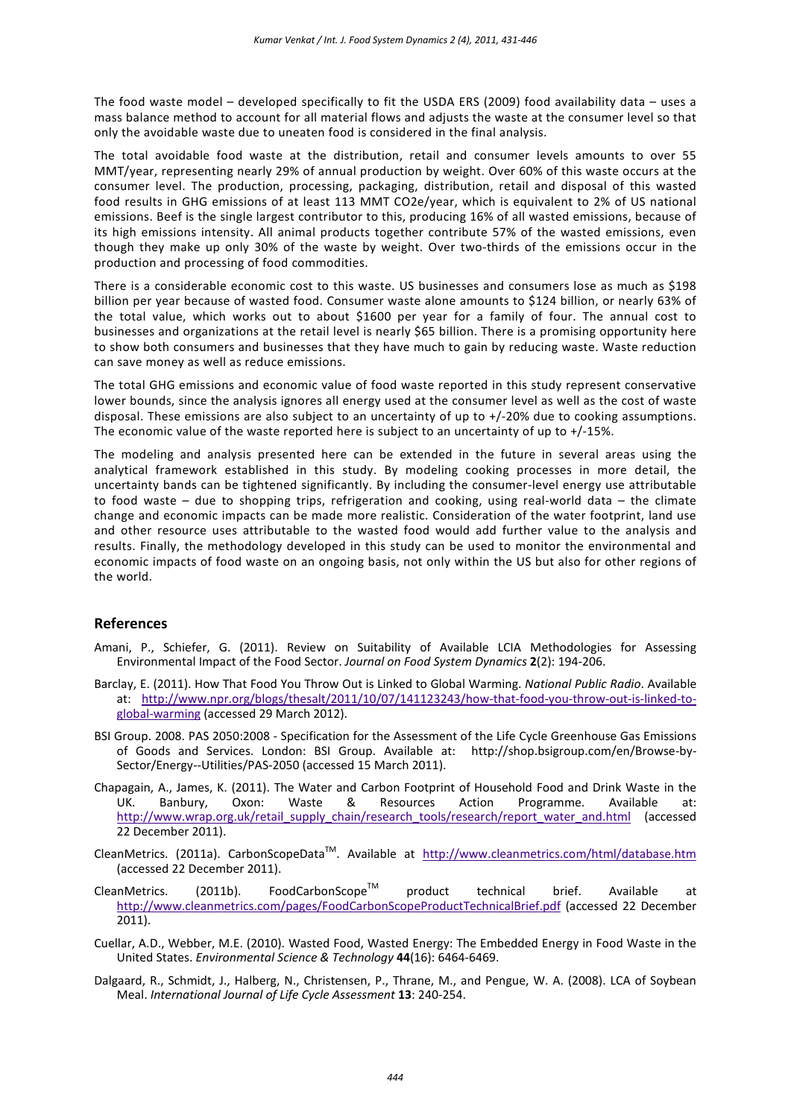The food waste model – developed specifically to fit the USDA ERS (2009) food availability data – uses a mass balance method to account for all material flows and adjusts the waste at the consumer level so that only the avoidable waste due to uneaten food is considered in the final analysis.

The total avoidable food waste at the distribution, retail and consumer levels amounts to over 55 MMT/year, representing nearly 29% of annual production by weight. Over 60% of this waste occurs at the consumer level. The production, processing, packaging, distribution, retail and disposal of this wasted food results in GHG emissions of at least 113 MMT CO2e/year, which is equivalent to 2% of US national emissions. Beef is the single largest contributor to this, producing 16% of all wasted emissions, because of its high emissions intensity. All animal products together contribute 57% of the wasted emissions, even though they make up only 30% of the waste by weight. Over two-thirds of the emissions occur in the production and processing of food commodities.

There is a considerable economic cost to this waste. US businesses and consumers lose as much as \$198 billion per year because of wasted food. Consumer waste alone amounts to \$124 billion, or nearly 63% of the total value, which works out to about \$1600 per year for a family of four. The annual cost to businesses and organizations at the retail level is nearly \$65 billion. There is a promising opportunity here to show both consumers and businesses that they have much to gain by reducing waste. Waste reduction can save money as well as reduce emissions.

The total GHG emissions and economic value of food waste reported in this study represent conservative lower bounds, since the analysis ignores all energy used at the consumer level as well as the cost of waste disposal. These emissions are also subject to an uncertainty of up to +/-20% due to cooking assumptions. The economic value of the waste reported here is subject to an uncertainty of up to +/-15%.

The modeling and analysis presented here can be extended in the future in several areas using the analytical framework established in this study. By modeling cooking processes in more detail, the uncertainty bands can be tightened significantly. By including the consumer-level energy use attributable to food waste – due to shopping trips, refrigeration and cooking, using real-world data – the climate change and economic impacts can be made more realistic. Consideration of the water footprint, land use and other resource uses attributable to the wasted food would add further value to the analysis and results. Finally, the methodology developed in this study can be used to monitor the environmental and economic impacts of food waste on an ongoing basis, not only within the US but also for other regions of the world.

#### **References**

- Amani, P., Schiefer, G. (2011). Review on Suitability of Available LCIA Methodologies for Assessing Environmental Impact of the Food Sector. *Journal on Food System Dynamics* **2**(2): 194-206.
- Barclay, E. (2011). How That Food You Throw Out is Linked to Global Warming. *National Public Radio*. Available at: [http://www.npr.org/blogs/thesalt/2011/10/07/141123243/how-that-food-you-throw-out-is-linked-to](http://www.npr.org/blogs/thesalt/2011/10/07/141123243/how-that-food-you-throw-out-is-linked-to-global-warming)[global-warming](http://www.npr.org/blogs/thesalt/2011/10/07/141123243/how-that-food-you-throw-out-is-linked-to-global-warming) (accessed 29 March 2012).
- BSI Group. 2008. PAS 2050:2008 Specification for the Assessment of the Life Cycle Greenhouse Gas Emissions of Goods and Services. London: BSI Group. Available at: http://shop.bsigroup.com/en/Browse-by-Sector/Energy--Utilities/PAS-2050 (accessed 15 March 2011).
- Chapagain, A., James, K. (2011). The Water and Carbon Footprint of Household Food and Drink Waste in the UK. Banbury, Oxon: Waste & Resources Action Programme. Available at: [http://www.wrap.org.uk/retail\\_supply\\_chain/research\\_tools/research/report\\_water\\_and.html](http://www.wrap.org.uk/retail_supply_chain/research_tools/research/report_water_and.html) (accessed 22 December 2011).
- CleanMetrics. (2011a). CarbonScopeData<sup>™</sup>. Available at <http://www.cleanmetrics.com/html/database.htm> (accessed 22 December 2011).
- CleanMetrics. (2011b). FoodCarbonScope<sup>™</sup> product technical brief. Available at <http://www.cleanmetrics.com/pages/FoodCarbonScopeProductTechnicalBrief.pdf> (accessed 22 December 2011).
- Cuellar, A.D., Webber, M.E. (2010). Wasted Food, Wasted Energy: The Embedded Energy in Food Waste in the United States. *Environmental Science & Technology* **44**(16): 6464-6469.
- Dalgaard, R., Schmidt, J., Halberg, N., Christensen, P., Thrane, M., and Pengue, W. A. (2008). LCA of Soybean Meal. *International Journal of Life Cycle Assessment* **13**: 240-254.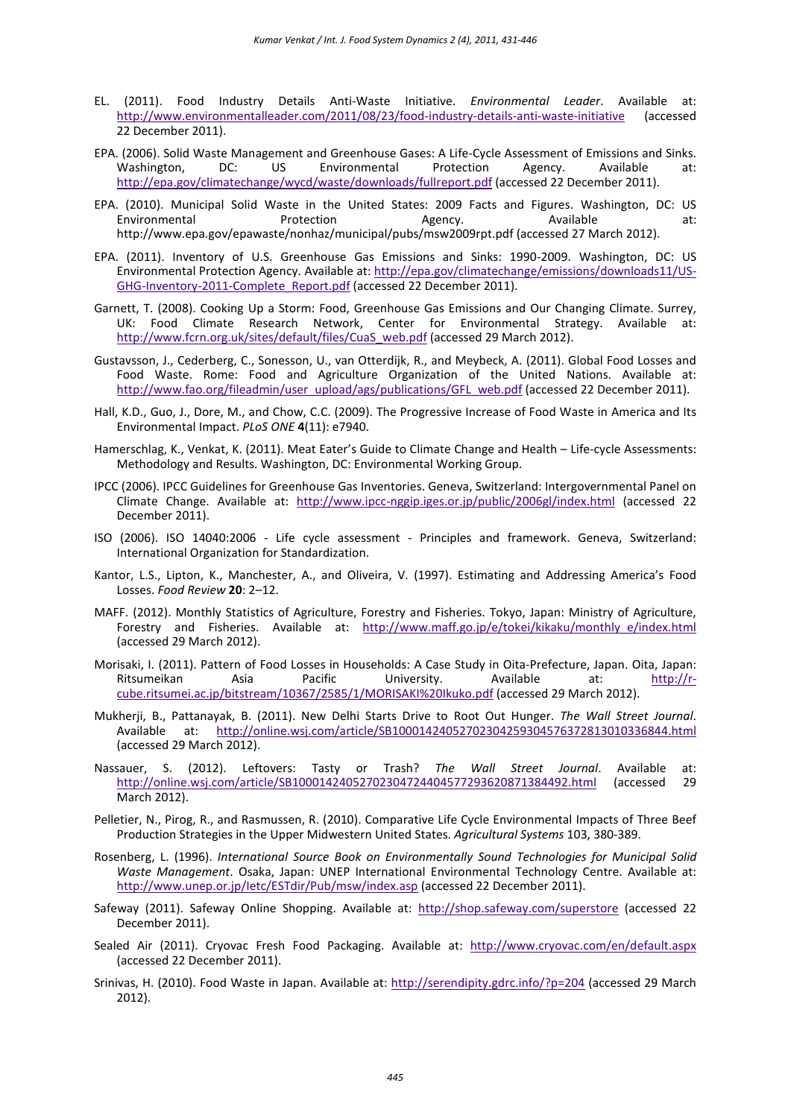- EL. (2011). Food Industry Details Anti-Waste Initiative. *Environmental Leader*. Available at: <http://www.environmentalleader.com/2011/08/23/food-industry-details-anti-waste-initiative> (accessed 22 December 2011).
- EPA. (2006). Solid Waste Management and Greenhouse Gases: A Life-Cycle Assessment of Emissions and Sinks. Environmental Protection Agency. Available at: <http://epa.gov/climatechange/wycd/waste/downloads/fullreport.pdf> (accessed 22 December 2011).
- EPA. (2010). Municipal Solid Waste in the United States: 2009 Facts and Figures. Washington, DC: US<br>:environmental Protection Agency. Available at: Environmental Protection Agency. Available at: http://www.epa.gov/epawaste/nonhaz/municipal/pubs/msw2009rpt.pdf (accessed 27 March 2012).
- EPA. (2011). Inventory of U.S. Greenhouse Gas Emissions and Sinks: 1990-2009. Washington, DC: US Environmental Protection Agency. Available at[: http://epa.gov/climatechange/emissions/downloads11/US-](http://epa.gov/climatechange/emissions/downloads11/US-GHG-Inventory-2011-Complete_Report.pdf)[GHG-Inventory-2011-Complete\\_Report.pdf](http://epa.gov/climatechange/emissions/downloads11/US-GHG-Inventory-2011-Complete_Report.pdf) (accessed 22 December 2011).
- Garnett, T. (2008). Cooking Up a Storm: Food, Greenhouse Gas Emissions and Our Changing Climate. Surrey, UK: Food Climate Research Network, Center for Environmental Strategy. Available at: [http://www.fcrn.org.uk/sites/default/files/CuaS\\_web.pdf](http://www.fcrn.org.uk/sites/default/files/CuaS_web.pdf) (accessed 29 March 2012).
- Gustavsson, J., Cederberg, C., Sonesson, U., van Otterdijk, R., and Meybeck, A. (2011). Global Food Losses and Food Waste. Rome: Food and Agriculture Organization of the United Nations. Available at: [http://www.fao.org/fileadmin/user\\_upload/ags/publications/GFL\\_web.pdf](http://www.fao.org/fileadmin/user_upload/ags/publications/GFL_web.pdf) (accessed 22 December 2011).
- Hall, K.D., Guo, J., Dore, M., and Chow, C.C. (2009). The Progressive Increase of Food Waste in America and Its Environmental Impact. *PLoS ONE* **4**(11): e7940.
- Hamerschlag, K., Venkat, K. (2011). Meat Eater's Guide to Climate Change and Health Life-cycle Assessments: Methodology and Results. Washington, DC: Environmental Working Group.
- IPCC (2006). IPCC Guidelines for Greenhouse Gas Inventories. Geneva, Switzerland: Intergovernmental Panel on Climate Change. Available at: <http://www.ipcc-nggip.iges.or.jp/public/2006gl/index.html> (accessed 22 December 2011).
- ISO (2006). ISO 14040:2006 Life cycle assessment Principles and framework. Geneva, Switzerland: International Organization for Standardization.
- Kantor, L.S., Lipton, K., Manchester, A., and Oliveira, V. (1997). Estimating and Addressing America's Food Losses. *Food Review* **20**: 2–12.
- MAFF. (2012). Monthly Statistics of Agriculture, Forestry and Fisheries. Tokyo, Japan: Ministry of Agriculture, Forestry and Fisheries. Available at: [http://www.maff.go.jp/e/tokei/kikaku/monthly\\_e/index.html](http://www.maff.go.jp/e/tokei/kikaku/monthly_e/index.html) (accessed 29 March 2012).
- Morisaki, I. (2011). Pattern of Food Losses in Households: A Case Study in Oita-Prefecture, Japan. Oita, Japan: Ritsumeikan Asia Pacific University. Available at: [http://r](http://r-cube.ritsumei.ac.jp/bitstream/10367/2585/1/MORISAKI%20Ikuko.pdf)[cube.ritsumei.ac.jp/bitstream/10367/2585/1/MORISAKI%20Ikuko.pdf](http://r-cube.ritsumei.ac.jp/bitstream/10367/2585/1/MORISAKI%20Ikuko.pdf) (accessed 29 March 2012).
- Mukherji, B., Pattanayak, B. (2011). New Delhi Starts Drive to Root Out Hunger. *The Wall Street Journal*. Available at: <http://online.wsj.com/article/SB10001424052702304259304576372813010336844.html> (accessed 29 March 2012).
- Nassauer, S. (2012). Leftovers: Tasty or Trash? *The Wall Street Journal*. Available at: <http://online.wsj.com/article/SB10001424052702304724404577293620871384492.html> March 2012).
- Pelletier, N., Pirog, R., and Rasmussen, R. (2010). Comparative Life Cycle Environmental Impacts of Three Beef Production Strategies in the Upper Midwestern United States. *Agricultural Systems* 103, 380-389.
- Rosenberg, L. (1996). *International Source Book on Environmentally Sound Technologies for Municipal Solid Waste Management*. Osaka, Japan: UNEP International Environmental Technology Centre. Available at: <http://www.unep.or.jp/Ietc/ESTdir/Pub/msw/index.asp> (accessed 22 December 2011).
- Safeway (2011). Safeway Online Shopping. Available at: <http://shop.safeway.com/superstore> (accessed 22 December 2011).
- Sealed Air (2011). Cryovac Fresh Food Packaging. Available at: <http://www.cryovac.com/en/default.aspx> (accessed 22 December 2011).
- Srinivas, H. (2010). Food Waste in Japan. Available at:<http://serendipity.gdrc.info/?p=204> (accessed 29 March 2012).